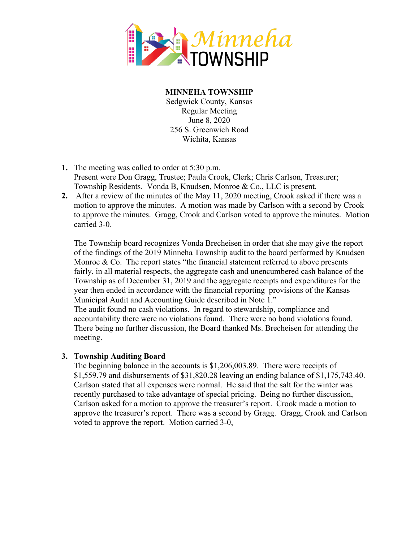

**MINNEHA TOWNSHIP** Sedgwick County, Kansas

Regular Meeting June 8, 2020 256 S. Greenwich Road Wichita, Kansas

- **1.** The meeting was called to order at 5:30 p.m. Present were Don Gragg, Trustee; Paula Crook, Clerk; Chris Carlson, Treasurer; Township Residents. Vonda B, Knudsen, Monroe & Co., LLC is present.
- **2.** After a review of the minutes of the May 11, 2020 meeting, Crook asked if there was a motion to approve the minutes. A motion was made by Carlson with a second by Crook to approve the minutes. Gragg, Crook and Carlson voted to approve the minutes. Motion carried 3-0.

The Township board recognizes Vonda Brecheisen in order that she may give the report of the findings of the 2019 Minneha Township audit to the board performed by Knudsen Monroe  $\&$  Co. The report states "the financial statement referred to above presents fairly, in all material respects, the aggregate cash and unencumbered cash balance of the Township as of December 31, 2019 and the aggregate receipts and expenditures for the year then ended in accordance with the financial reporting provisions of the Kansas Municipal Audit and Accounting Guide described in Note 1."

The audit found no cash violations. In regard to stewardship, compliance and accountability there were no violations found. There were no bond violations found. There being no further discussion, the Board thanked Ms. Brecheisen for attending the meeting.

## **3. Township Auditing Board**

The beginning balance in the accounts is \$1,206,003.89. There were receipts of \$1,559.79 and disbursements of \$31,820.28 leaving an ending balance of \$1,175,743.40. Carlson stated that all expenses were normal. He said that the salt for the winter was recently purchased to take advantage of special pricing. Being no further discussion, Carlson asked for a motion to approve the treasurer's report. Crook made a motion to approve the treasurer's report. There was a second by Gragg. Gragg, Crook and Carlson voted to approve the report. Motion carried 3-0,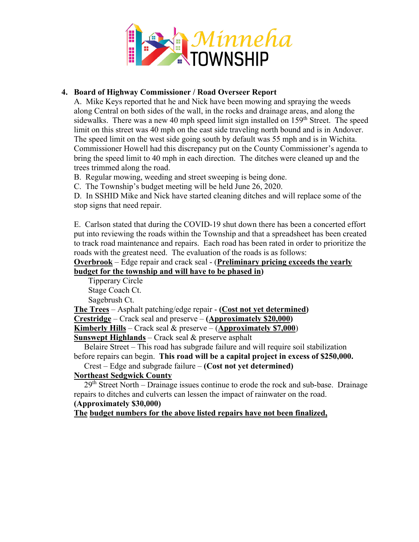

## **4. Board of Highway Commissioner / Road Overseer Report**

A. Mike Keys reported that he and Nick have been mowing and spraying the weeds along Central on both sides of the wall, in the rocks and drainage areas, and along the sidewalks. There was a new 40 mph speed limit sign installed on  $159<sup>th</sup>$  Street. The speed limit on this street was 40 mph on the east side traveling north bound and is in Andover. The speed limit on the west side going south by default was 55 mph and is in Wichita. Commissioner Howell had this discrepancy put on the County Commissioner's agenda to bring the speed limit to 40 mph in each direction. The ditches were cleaned up and the trees trimmed along the road.

B. Regular mowing, weeding and street sweeping is being done.

C. The Township's budget meeting will be held June 26, 2020.

D. In SSHID Mike and Nick have started cleaning ditches and will replace some of the stop signs that need repair.

E. Carlson stated that during the COVID-19 shut down there has been a concerted effort put into reviewing the roads within the Township and that a spreadsheet has been created to track road maintenance and repairs. Each road has been rated in order to prioritize the roads with the greatest need. The evaluation of the roads is as follows:

**Overbrook** – Edge repair and crack seal - (**Preliminary pricing exceeds the yearly budget for the township and will have to be phased in)**

Tipperary Circle Stage Coach Ct. Sagebrush Ct.

**The Trees** – Asphalt patching/edge repair - **(Cost not yet determined)**

**Crestridge** – Crack seal and preserve – **(Approximately \$20,000)**

**Kimberly Hills** – Crack seal & preserve – (**Approximately \$7,000**)

**Sunswept Highlands** – Crack seal & preserve asphalt

 Belaire Street – This road has subgrade failure and will require soil stabilization before repairs can begin. **This road will be a capital project in excess of \$250,000.**

Crest – Edge and subgrade failure – **(Cost not yet determined)**

## **Northeast Sedgwick County**

 $29<sup>th</sup> Street North - Drainage issues continue to erode the rock and sub-base. Drainage$ repairs to ditches and culverts can lessen the impact of rainwater on the road.

# **(Approximately \$30,000)**

**The budget numbers for the above listed repairs have not been finalized,**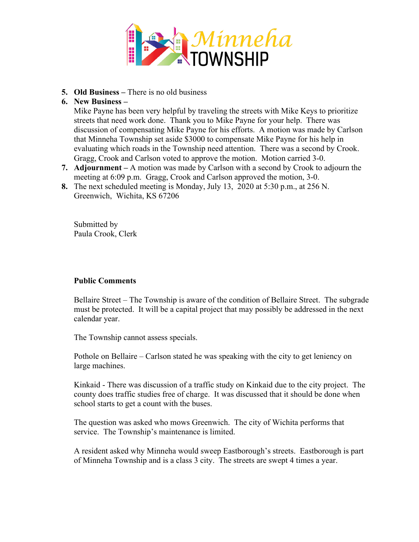

- **5. Old Business –** There is no old business
- **6. New Business –**

Mike Payne has been very helpful by traveling the streets with Mike Keys to prioritize streets that need work done. Thank you to Mike Payne for your help. There was discussion of compensating Mike Payne for his efforts. A motion was made by Carlson that Minneha Township set aside \$3000 to compensate Mike Payne for his help in evaluating which roads in the Township need attention. There was a second by Crook. Gragg, Crook and Carlson voted to approve the motion. Motion carried 3-0.

- **7. Adjournment –** A motion was made by Carlson with a second by Crook to adjourn the meeting at 6:09 p.m. Gragg, Crook and Carlson approved the motion, 3-0.
- **8.** The next scheduled meeting is Monday, July 13, 2020 at 5:30 p.m., at 256 N. Greenwich, Wichita, KS 67206

Submitted by Paula Crook, Clerk

## **Public Comments**

Bellaire Street – The Township is aware of the condition of Bellaire Street. The subgrade must be protected. It will be a capital project that may possibly be addressed in the next calendar year.

The Township cannot assess specials.

Pothole on Bellaire – Carlson stated he was speaking with the city to get leniency on large machines.

Kinkaid - There was discussion of a traffic study on Kinkaid due to the city project. The county does traffic studies free of charge. It was discussed that it should be done when school starts to get a count with the buses.

The question was asked who mows Greenwich. The city of Wichita performs that service. The Township's maintenance is limited.

A resident asked why Minneha would sweep Eastborough's streets. Eastborough is part of Minneha Township and is a class 3 city. The streets are swept 4 times a year.